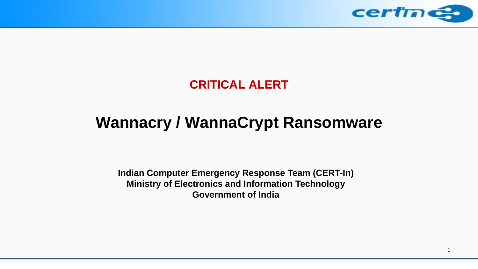

### **CRITICAL ALERT**

# **Wannacry / WannaCrypt Ransomware**

**Indian Computer Emergency Response Team (CERT-In) Ministry of Electronics and Information Technology Government of India**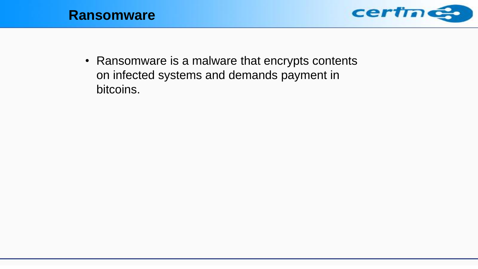



• Ransomware is a malware that encrypts contents on infected systems and demands payment in bitcoins.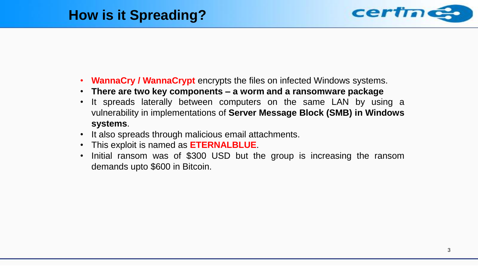

- **WannaCry / WannaCrypt** encrypts the files on infected Windows systems.
- **There are two key components – a worm and a ransomware package**
- It spreads laterally between computers on the same LAN by using a vulnerability in implementations of **Server Message Block (SMB) in Windows systems**.
- It also spreads through malicious email attachments.
- This exploit is named as **ETERNALBLUE**.
- Initial ransom was of \$300 USD but the group is increasing the ransom demands upto \$600 in Bitcoin.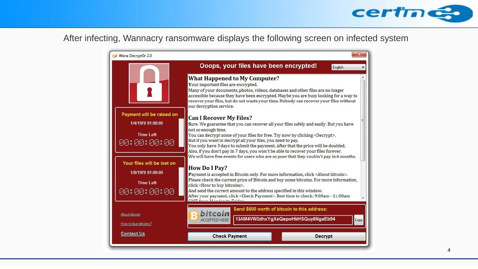

### After infecting, Wannacry ransomware displays the following screen on infected system

| Wana Decrypt0r 2.0                    |                                                                                                                                                                                                                                                                                                                                  | х                                                                                    |  |
|---------------------------------------|----------------------------------------------------------------------------------------------------------------------------------------------------------------------------------------------------------------------------------------------------------------------------------------------------------------------------------|--------------------------------------------------------------------------------------|--|
|                                       | Ooops, your files have been encrypted!                                                                                                                                                                                                                                                                                           | English                                                                              |  |
|                                       | <b>What Happened to My Computer?</b><br>Your important files are encrypted.<br>Many of your documents, photos, videos, databases and other files are no longer<br>recover your files, but do not waste your time. Nobody can recover your files without<br>our decryption service.                                               | accessible because they have been encrypted. Maybe you are busy looking for a way to |  |
| Payment will be raised on             | <b>Can I Recover My Files?</b>                                                                                                                                                                                                                                                                                                   |                                                                                      |  |
| 1/4/1970 01:00:00                     | Sure. We guarantee that you can recover all your files safely and easily. But you have                                                                                                                                                                                                                                           |                                                                                      |  |
| <b>Time Left</b>                      | not so enough time.<br>You can decrypt some of your files for free. Try now by clicking <decrypt>.</decrypt>                                                                                                                                                                                                                     |                                                                                      |  |
| 88 : 88 : 88 : 88                     | But if you want to decrypt all your files, you need to pay.<br>You only have 3 days to submit the payment. After that the price will be doubled.<br>Also, if you don't pay in 7 days, you won't be able to recover your files forever.<br>We will have free events for users who are so poor that they couldn't pay in 6 months. |                                                                                      |  |
| Your files will be lost on            |                                                                                                                                                                                                                                                                                                                                  |                                                                                      |  |
| 1/8/1970 01:00:00                     | <b>How Do I Pay?</b><br>Payment is accepted in Bitcoin only. For more information, click <about bitcoin="">.</about>                                                                                                                                                                                                             |                                                                                      |  |
| <b>Time Left</b><br>88 : 88 : 88 : 88 | Please check the current price of Bitcoin and buy some bitcoins. For more information,<br>click <how bitcoins="" buy="" to="">.<br/>And send the correct amount to the address specified in this window.<br/>After your payment, click <check payment="">. Best time to check: 9:00am - 11:00am</check></how>                    |                                                                                      |  |
|                                       | Send \$600 worth of bitcoin to this address:<br>hitcoir                                                                                                                                                                                                                                                                          |                                                                                      |  |
| About bitcoin<br>How to buy bitcoins? | 13AM4VW2dhxYgXeQepoHkHSQuy6NgaEb94<br><b>ACCEPTED HERE</b>                                                                                                                                                                                                                                                                       |                                                                                      |  |
| <b>Contact Us</b>                     | <b>Check Payment</b>                                                                                                                                                                                                                                                                                                             | <b>Decrypt</b>                                                                       |  |
|                                       |                                                                                                                                                                                                                                                                                                                                  |                                                                                      |  |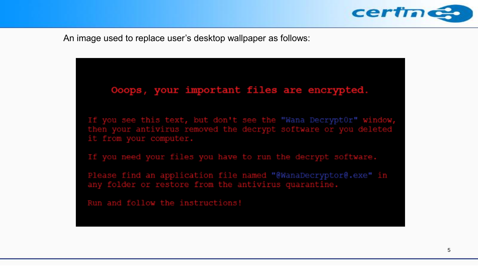

An image used to replace user's desktop wallpaper as follows:

#### Ooops, your important files are encrypted.

If you see this text, but don't see the "Wana Decrypt0r" window, then your antivirus removed the decrypt software or you deleted it from your computer.

If you need your files you have to run the decrypt software.

Please find an application file named "@WanaDecryptor@.exe" in any folder or restore from the antivirus quarantine.

Run and follow the instructions!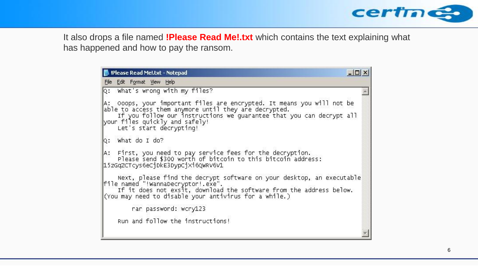

It also drops a file named **!Please Read Me!.txt** which contains the text explaining what has happened and how to pay the ransom.

| Please Read Mel.txt - Notepad                                                                                                                                                                                                                                        | $ \Box$ |  |
|----------------------------------------------------------------------------------------------------------------------------------------------------------------------------------------------------------------------------------------------------------------------|---------|--|
| File Edit Format View Help                                                                                                                                                                                                                                           |         |  |
| Q: What's wrong with my files?                                                                                                                                                                                                                                       |         |  |
| A: Ooops, your important files are encrypted. It means you will not be<br>able to access them anymore until they are decrypted.<br>If you follow our instructions we quarantee that you can decrypt all<br>your files quickly and safely!<br>Let's start decrypting! |         |  |
| Q: what do I do?                                                                                                                                                                                                                                                     |         |  |
| A: First, you need to pay service fees for the decryption.<br>Please send \$300 worth of bitcoin to this bitcoin address:<br>15zGqZCTcys6eC1DkE3DypCjX16QWRV6V1                                                                                                      |         |  |
| Next, please find the decrypt software on your desktop, an executable<br>file named "!WannaDecryptor!.exe".<br>If it does not exsit, download the software from the address below.<br>(You may need to disable your antivirus for a while.)                          |         |  |
| rar password: wcry123                                                                                                                                                                                                                                                |         |  |
| Run and follow the instructions!                                                                                                                                                                                                                                     |         |  |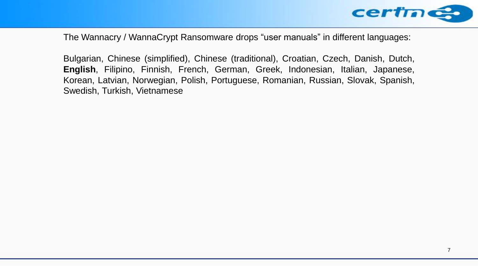

The Wannacry / WannaCrypt Ransomware drops "user manuals" in different languages:

Bulgarian, Chinese (simplified), Chinese (traditional), Croatian, Czech, Danish, Dutch, **English**, Filipino, Finnish, French, German, Greek, Indonesian, Italian, Japanese, Korean, Latvian, Norwegian, Polish, Portuguese, Romanian, Russian, Slovak, Spanish, Swedish, Turkish, Vietnamese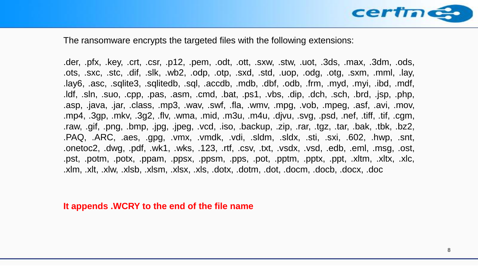

The ransomware encrypts the targeted files with the following extensions:

.der, .pfx, .key, .crt, .csr, .p12, .pem, .odt, .ott, .sxw, .stw, .uot, .3ds, .max, .3dm, .ods, .ots, .sxc, .stc, .dif, .slk, .wb2, .odp, .otp, .sxd, .std, .uop, .odg, .otg, .sxm, .mml, .lay, .lay6, .asc, .sqlite3, .sqlitedb, .sql, .accdb, .mdb, .dbf, .odb, .frm, .myd, .myi, .ibd, .mdf, .ldf, .sln, .suo, .cpp, .pas, .asm, .cmd, .bat, .ps1, .vbs, .dip, .dch, .sch, .brd, .jsp, .php, .asp, .java, .jar, .class, .mp3, .wav, .swf, .fla, .wmv, .mpg, .vob, .mpeg, .asf, .avi, .mov, .mp4, .3gp, .mkv, .3g2, .flv, .wma, .mid, .m3u, .m4u, .djvu, .svg, .psd, .nef, .tiff, .tif, .cgm, .raw, .gif, .png, .bmp, .jpg, .jpeg, .vcd, .iso, .backup, .zip, .rar, .tgz, .tar, .bak, .tbk, .bz2, .PAQ, .ARC, .aes, .gpg, .vmx, .vmdk, .vdi, .sldm, .sldx, .sti, .sxi, .602, .hwp, .snt, .onetoc2, .dwg, .pdf, .wk1, .wks, .123, .rtf, .csv, .txt, .vsdx, .vsd, .edb, .eml, .msg, .ost, .pst, .potm, .potx, .ppam, .ppsx, .ppsm, .pps, .pot, .pptm, .pptx, .ppt, .xltm, .xltx, .xlc, .xlm, .xlt, .xlw, .xlsb, .xlsm, .xlsx, .xls, .dotx, .dotm, .dot, .docm, .docb, .docx, .doc

**It appends .WCRY to the end of the file name**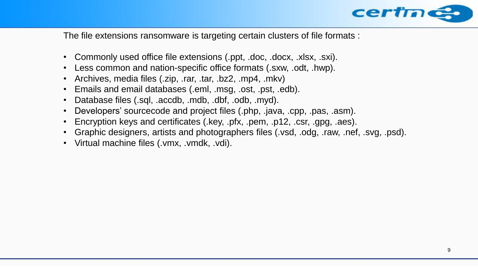

The file extensions ransomware is targeting certain clusters of file formats :

- Commonly used office file extensions (.ppt, .doc, .docx, .xlsx, .sxi).
- Less common and nation-specific office formats (.sxw, .odt, .hwp).
- Archives, media files (.zip, .rar, .tar, .bz2, .mp4, .mkv)
- Emails and email databases (.eml, .msg, .ost, .pst, .edb).
- Database files (.sql, .accdb, .mdb, .dbf, .odb, .myd).
- Developers' sourcecode and project files (.php, .java, .cpp, .pas, .asm).
- Encryption keys and certificates (.key, .pfx, .pem, .p12, .csr, .gpg, .aes).
- Graphic designers, artists and photographers files (.vsd, .odg, .raw, .nef, .svg, .psd).
- Virtual machine files (.vmx, .vmdk, .vdi).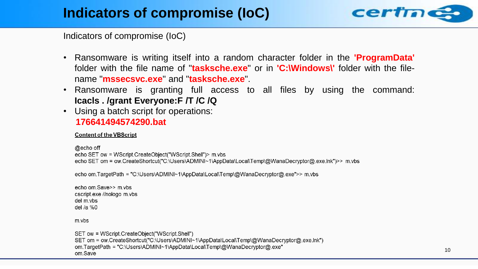

Indicators of compromise (IoC)

- Ransomware is writing itself into a random character folder in the **'ProgramData'** folder with the file name of "**tasksche.exe**" or in **'C:\Windows\'** folder with the filename "**mssecsvc.exe**" and "**tasksche.exe**".
- Ransomware is granting full access to all files by using the command: **Icacls . /grant Everyone:F /T /C /Q**
- Using a batch script for operations: **176641494574290.bat**

#### **Content of the VBScript**

```
@echo off
echo SET ow = WScript.CreateObject("WScript.Shell")> m.vbs
echo SET om = ow.CreateShortcut("C:\Users\ADMINI~1\AppData\Local\Temp\@WanaDecryptor@.exe.lnk")>> m.vbs
```

```
echo om.TargetPath = "C:\Users\ADMINI~1\AppData\Local\Temp\@WanaDecryptor@.exe">> m.vbs
```
echo om.Save>> m.vbs cscript.exe //nologo m.vbs del m.vbs del /a %0

m.ybs

SET ow = WScript.CreateObject("WScript.Shell") SET om = ow.CreateShortcut("C:\Users\ADMINI~1\AppData\Local\Temp\@WanaDecryptor@.exe.lnk") om.TargetPath = "C:\Users\ADMINI~1\AppData\Local\Temp\@WanaDecryptor@.exe" om.Save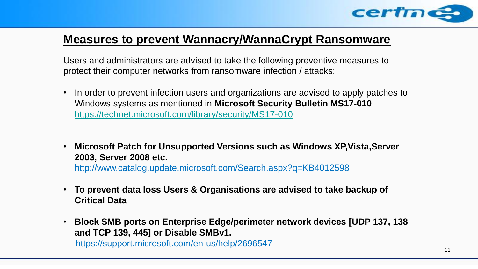

### **Measures to prevent Wannacry/WannaCrypt Ransomware**

Users and administrators are advised to take the following preventive measures to protect their computer networks from ransomware infection / attacks:

- In order to prevent infection users and organizations are advised to apply patches to Windows systems as mentioned in **Microsoft Security Bulletin MS17-010**  <https://technet.microsoft.com/library/security/MS17-010>
- **Microsoft Patch for Unsupported Versions such as Windows XP,Vista,Server 2003, Server 2008 etc.** http://www.catalog.update.microsoft.com/Search.aspx?q=KB4012598
- **To prevent data loss Users & Organisations are advised to take backup of Critical Data**
- **Block SMB ports on Enterprise Edge/perimeter network devices [UDP 137, 138 and TCP 139, 445] or Disable SMBv1.** https://support.microsoft.com/en-us/help/2696547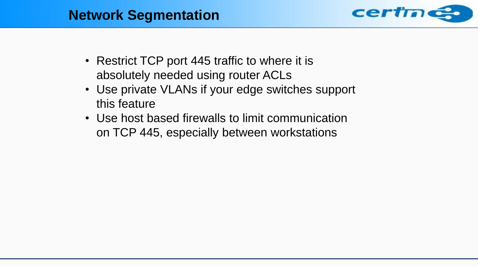### **Network Segmentation**



- Restrict TCP port 445 traffic to where it is absolutely needed using router ACLs
- Use private VLANs if your edge switches support this feature
- Use host based firewalls to limit communication on TCP 445, especially between workstations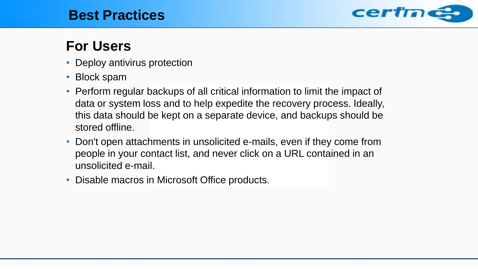### **Best Practices**



## **For Users**

- Deploy antivirus protection
- Block spam
- Perform regular backups of all critical information to limit the impact of data or system loss and to help expedite the recovery process. Ideally, this data should be kept on a separate device, and backups should be stored offline.
- Don't open attachments in unsolicited e-mails, even if they come from people in your contact list, and never click on a URL contained in an unsolicited e-mail.
- Disable macros in Microsoft Office products.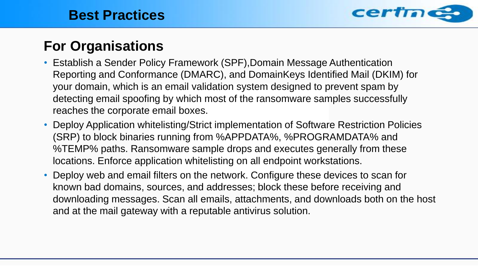

# **For Organisations**

- Establish a Sender Policy Framework (SPF), Domain Message Authentication Reporting and Conformance (DMARC), and DomainKeys Identified Mail (DKIM) for your domain, which is an email validation system designed to prevent spam by detecting email spoofing by which most of the ransomware samples successfully reaches the corporate email boxes.
- Deploy Application whitelisting/Strict implementation of Software Restriction Policies (SRP) to block binaries running from %APPDATA%, %PROGRAMDATA% and %TEMP% paths. Ransomware sample drops and executes generally from these locations. Enforce application whitelisting on all endpoint workstations.
- Deploy web and email filters on the network. Configure these devices to scan for known bad domains, sources, and addresses; block these before receiving and downloading messages. Scan all emails, attachments, and downloads both on the host and at the mail gateway with a reputable antivirus solution.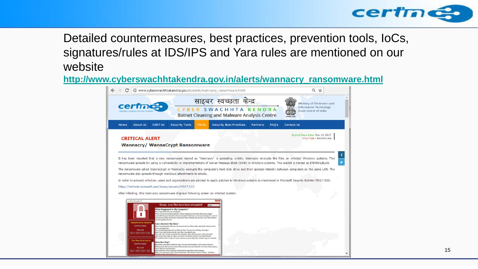

### Detailed countermeasures, best practices, prevention tools, IoCs, signatures/rules at IDS/IPS and Yara rules are mentioned on our website

**[http://www.cyberswachhtakendra.gov.in/alerts/wannacry\\_ransomware.html](http://www.cyberswachhtakendra.gov.in/alerts/wannacry_ransomware.html)**

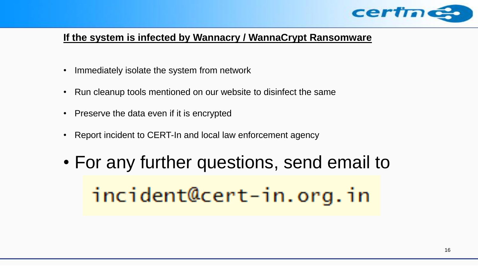

#### **If the system is infected by Wannacry / WannaCrypt Ransomware**

- Immediately isolate the system from network
- Run cleanup tools mentioned on our website to disinfect the same
- Preserve the data even if it is encrypted
- Report incident to CERT-In and local law enforcement agency
- For any further questions, send email to incident@cert-in.org.in